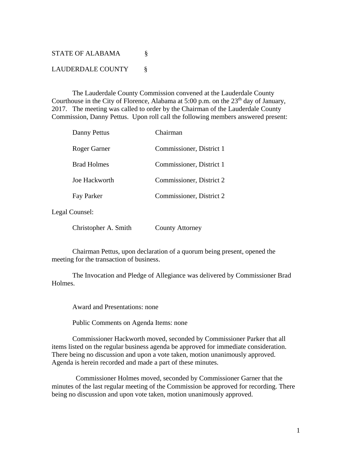## STATE OF ALABAMA §

## LAUDERDALE COUNTY §

 The Lauderdale County Commission convened at the Lauderdale County Courthouse in the City of Florence, Alabama at 5:00 p.m. on the  $23<sup>th</sup>$  day of January, 2017. The meeting was called to order by the Chairman of the Lauderdale County Commission, Danny Pettus. Upon roll call the following members answered present:

| Danny Pettus       | Chairman                 |
|--------------------|--------------------------|
| Roger Garner       | Commissioner, District 1 |
| <b>Brad Holmes</b> | Commissioner, District 1 |
| Joe Hackworth      | Commissioner, District 2 |
| Fay Parker         | Commissioner, District 2 |

Legal Counsel:

Christopher A. Smith County Attorney

Chairman Pettus, upon declaration of a quorum being present, opened the meeting for the transaction of business.

The Invocation and Pledge of Allegiance was delivered by Commissioner Brad Holmes.

Award and Presentations: none

Public Comments on Agenda Items: none

Commissioner Hackworth moved, seconded by Commissioner Parker that all items listed on the regular business agenda be approved for immediate consideration. There being no discussion and upon a vote taken, motion unanimously approved. Agenda is herein recorded and made a part of these minutes.

 Commissioner Holmes moved, seconded by Commissioner Garner that the minutes of the last regular meeting of the Commission be approved for recording. There being no discussion and upon vote taken, motion unanimously approved.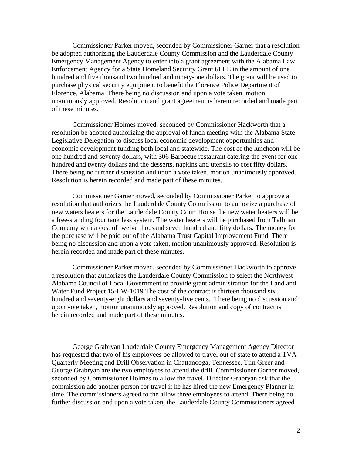Commissioner Parker moved, seconded by Commissioner Garner that a resolution be adopted authorizing the Lauderdale County Commission and the Lauderdale County Emergency Management Agency to enter into a grant agreement with the Alabama Law Enforcement Agency for a State Homeland Security Grant 6LEL in the amount of one hundred and five thousand two hundred and ninety-one dollars. The grant will be used to purchase physical security equipment to benefit the Florence Police Department of Florence, Alabama. There being no discussion and upon a vote taken, motion unanimously approved. Resolution and grant agreement is herein recorded and made part of these minutes.

Commissioner Holmes moved, seconded by Commissioner Hackworth that a resolution be adopted authorizing the approval of lunch meeting with the Alabama State Legislative Delegation to discuss local economic development opportunities and economic development funding both local and statewide. The cost of the luncheon will be one hundred and seventy dollars, with 306 Barbecue restaurant catering the event for one hundred and twenty dollars and the desserts, napkins and utensils to cost fifty dollars. There being no further discussion and upon a vote taken, motion unanimously approved. Resolution is herein recorded and made part of these minutes.

Commissioner Garner moved, seconded by Commissioner Parker to approve a resolution that authorizes the Lauderdale County Commission to authorize a purchase of new waters heaters for the Lauderdale County Court House the new water heaters will be a free-standing four tank less system. The water heaters will be purchased from Tallman Company with a cost of twelve thousand seven hundred and fifty dollars. The money for the purchase will be paid out of the Alabama Trust Capital Improvement Fund. There being no discussion and upon a vote taken, motion unanimously approved. Resolution is herein recorded and made part of these minutes.

Commissioner Parker moved, seconded by Commissioner Hackworth to approve a resolution that authorizes the Lauderdale County Commission to select the Northwest Alabama Council of Local Government to provide grant administration for the Land and Water Fund Project 15-LW-1019.The cost of the contract is thirteen thousand six hundred and seventy-eight dollars and seventy-five cents. There being no discussion and upon vote taken, motion unanimously approved. Resolution and copy of contract is herein recorded and made part of these minutes.

George Grabryan Lauderdale County Emergency Management Agency Director has requested that two of his employees be allowed to travel out of state to attend a TVA Quarterly Meeting and Drill Observation in Chattanooga, Tennessee. Tim Greer and George Grabryan are the two employees to attend the drill. Commissioner Garner moved, seconded by Commissioner Holmes to allow the travel. Director Grabryan ask that the commission add another person for travel if he has hired the new Emergency Planner in time. The commissioners agreed to the allow three employees to attend. There being no further discussion and upon a vote taken, the Lauderdale County Commissioners agreed